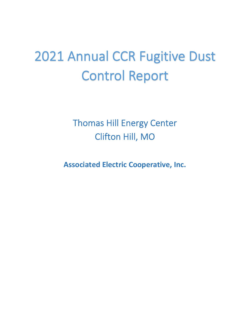# 2021 Annual CCR Fugitive Dust Control Report

Thomas Hill Energy Center Clifton Hill, MO

**Associated Electric Cooperative, Inc.**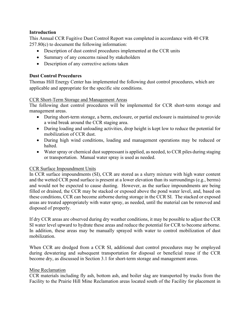#### **Introduction**

This Annual CCR Fugitive Dust Control Report was completed in accordance with 40 CFR 257.80(c) to document the following information:

- Description of dust control procedures implemented at the CCR units
- Summary of any concerns raised by stakeholders
- Description of any corrective actions taken

## **Dust Control Procedures**

Thomas Hill Energy Center has implemented the following dust control procedures, which are applicable and appropriate for the specific site conditions.

#### CCR Short-Term Storage and Management Areas

 The following dust control procedures will be implemented for CCR short-term storage and management areas.

- During short-term storage, a berm, enclosure, or partial enclosure is maintained to provide a wind break around the CCR staging area.
- During loading and unloading activities, drop height is kept low to reduce the potential for mobilization of CCR dust.
- During high wind conditions, loading and management operations may be reduced or halted.
- Water spray or chemical dust suppressant is applied, as needed, to CCR piles during staging or transportation. Manual water spray is used as needed.

#### CCR Surface Impoundment Units

 In CCR surface impoundments (SI), CCR are stored as a slurry mixture with high water content and would not be expected to cause dusting. However, as the surface impoundments are being filled or drained, the CCR may be stacked or exposed above the pond water level, and, based on these conditions, CCR can become airborne during storage in the CCR SI. The stacked or exposed and the wetted CCR pond surface is present at a lower elevation than its surroundings (e.g., berms) areas are treated appropriately with water spray, as needed, until the material can be removed and disposed of properly.

 If dry CCR areas are observed during dry weather conditions, it may be possible to adjust the CCR In addition, these areas may be manually sprayed with water to control mobilization of dust SI water level upward to hydrate these areas and reduce the potential for CCR to become airborne. mobilization.

 When CCR are dredged from a CCR SI, additional dust control procedures may be employed during dewatering and subsequent transportation for disposal or beneficial reuse if the CCR become dry, as discussed in Section 3.1 for short-term storage and management areas.

#### Mine Reclamation

 CCR materials including fly ash, bottom ash, and boiler slag are transported by trucks from the Facility to the Prairie Hill Mine Reclamation areas located south of the Facility for placement in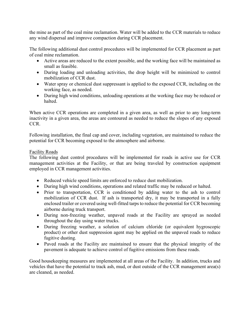the mine as part of the coal mine reclamation. Water will be added to the CCR materials to reduce any wind dispersal and improve compaction during CCR placement.

The following additional dust control procedures will be implemented for CCR placement as part of coal mine reclamation.

- Active areas are reduced to the extent possible, and the working face will be maintained as small as feasible.
- During loading and unloading activities, the drop height will be minimized to control mobilization of CCR dust.
- Water spray or chemical dust suppressant is applied to the exposed CCR, including on the working face, as needed.
- During high wind conditions, unloading operations at the working face may be reduced or halted.

 When active CCR operations are completed in a given area, as well as prior to any long-term inactivity in a given area, the areas are contoured as needed to reduce the slopes of any exposed CCR.

 Following installation, the final cap and cover, including vegetation, are maintained to reduce the potential for CCR becoming exposed to the atmosphere and airborne.

## Facility Roads

 The following dust control procedures will be implemented for roads in active use for CCR management activities at the Facility, or that are being traveled by construction equipment employed in CCR management activities.

- Reduced vehicle speed limits are enforced to reduce dust mobilization.
- During high wind conditions, operations and related traffic may be reduced or halted.
- Prior to transportation, CCR is conditioned by adding water to the ash to control mobilization of CCR dust. If ash is transported dry, it may be transported in a fully enclosed trailer or covered using well-fitted tarps to reduce the potential for CCR becoming airborne during truck transport.
- During non-freezing weather, unpaved roads at the Facility are sprayed as needed throughout the day using water trucks.
- During freezing weather, a solution of calcium chloride (or equivalent hygroscopic product) or other dust suppression agent may be applied on the unpaved roads to reduce fugitive dusting.
- Paved roads at the Facility are maintained to ensure that the physical integrity of the pavement is adequate to achieve control of fugitive emissions from these roads.

Good housekeeping measures are implemented at all areas of the Facility. In addition, trucks and vehicles that have the potential to track ash, mud, or dust outside of the CCR management area(s) are cleaned, as needed.